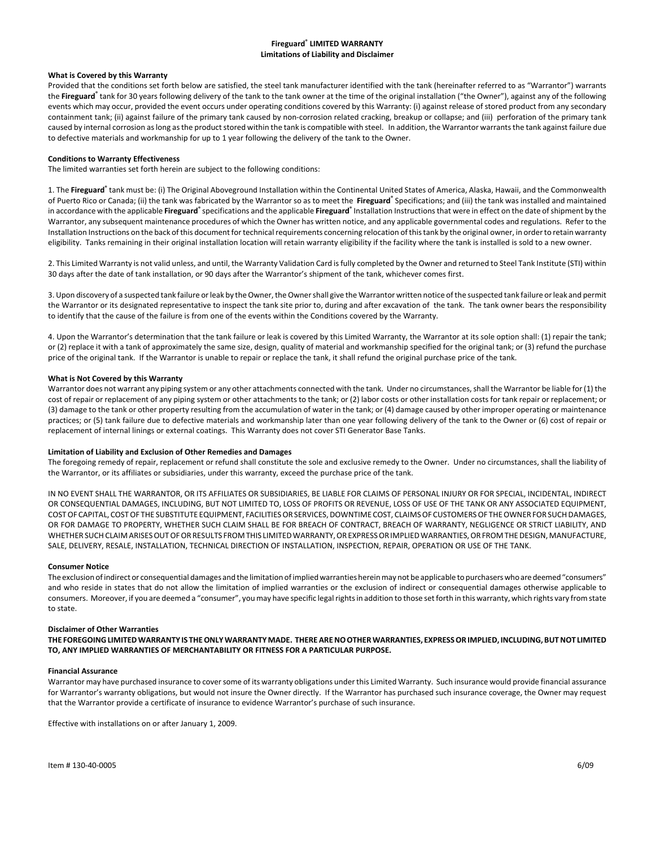# **Fireguard® LIMITED WARRANTY Limitations of Liability and Disclaimer**

# **What is Covered by this Warranty**

Provided that the conditions set forth below are satisfied, the steel tank manufacturer identified with the tank (hereinafter referred to as "Warrantor") warrants the Fireguard<sup>®</sup> tank for 30 years following delivery of the tank to the tank owner at the time of the original installation ("the Owner"), against any of the following events which may occur, provided the event occurs under operating conditions covered by this Warranty: (i) against release of stored product from any secondary containment tank; (ii) against failure of the primary tank caused by non-corrosion related cracking, breakup or collapse; and (iii) perforation of the primary tank caused by internal corrosion as long as the product stored within the tank is compatible with steel. In addition, the Warrantor warrants the tank against failure due to defective materials and workmanship for up to 1 year following the delivery of the tank to the Owner.

#### **Conditions to Warranty Effectiveness**

The limited warranties set forth herein are subject to the following conditions:

1. The Fireguard<sup>®</sup> tank must be: (i) The Original Aboveground Installation within the Continental United States of America, Alaska, Hawaii, and the Commonwealth of Puerto Rico or Canada; (ii) the tank was fabricated by the Warrantor so as to meet the **Fireguard**<sup>®</sup> Specifications; and (iii) the tank was installed and maintained in accordance with the applicable **Fireguard**<sup>®</sup> specifications and the applicable Fireguard<sup>®</sup> Installation Instructions that were in effect on the date of shipment by the Warrantor, any subsequent maintenance procedures of which the Owner has written notice, and any applicable governmental codes and regulations. Refer to the Installation Instructions on the back of this document for technical requirements concerning relocation of this tank by the original owner, in order to retain warranty eligibility. Tanks remaining in their original installation location will retain warranty eligibility if the facility where the tank is installed is sold to a new owner.

2. This Limited Warranty is not valid unless, and until, the Warranty Validation Card isfully completed by the Owner and returned to Steel Tank Institute (STI) within 30 days after the date of tank installation, or 90 days after the Warrantor's shipment of the tank, whichever comes first.

3. Upon discovery of a suspected tank failure or leak by the Owner, the Owner shall give the Warrantor written notice of the suspected tank failure or leak and permit the Warrantor or its designated representative to inspect the tank site prior to, during and after excavation of the tank. The tank owner bears the responsibility to identify that the cause of the failure is from one of the events within the Conditions covered by the Warranty.

4. Upon the Warrantor's determination that the tank failure or leak is covered by this Limited Warranty, the Warrantor at its sole option shall: (1) repair the tank; or (2) replace it with a tank of approximately the same size, design, quality of material and workmanship specified for the original tank; or (3) refund the purchase price of the original tank. If the Warrantor is unable to repair or replace the tank, it shall refund the original purchase price of the tank.

## **What is Not Covered by this Warranty**

Warrantor does not warrant any piping system or any other attachments connected with the tank. Under no circumstances, shall the Warrantor be liable for (1) the cost of repair or replacement of any piping system or other attachments to the tank; or (2) labor costs or other installation costs for tank repair or replacement; or (3) damage to the tank or other property resulting from the accumulation of water in the tank; or (4) damage caused by other improper operating or maintenance practices; or (5) tank failure due to defective materials and workmanship later than one year following delivery of the tank to the Owner or (6) cost of repair or replacement of internal linings or external coatings. This Warranty does not cover STI Generator Base Tanks.

# **Limitation of Liability and Exclusion of Other Remedies and Damages**

The foregoing remedy of repair, replacement or refund shall constitute the sole and exclusive remedy to the Owner. Under no circumstances, shall the liability of the Warrantor, or its affiliates or subsidiaries, under this warranty, exceed the purchase price of the tank.

IN NO EVENT SHALL THE WARRANTOR, OR ITS AFFILIATES OR SUBSIDIARIES, BE LIABLE FOR CLAIMS OF PERSONAL INJURY OR FOR SPECIAL, INCIDENTAL, INDIRECT OR CONSEQUENTIAL DAMAGES, INCLUDING, BUT NOT LIMITED TO, LOSS OF PROFITS OR REVENUE, LOSS OF USE OF THE TANK OR ANY ASSOCIATED EQUIPMENT, COSTOF CAPITAL, COSTOF THE SUBSTITUTE EQUIPMENT, FACILITIESOR SERVICES,DOWNTIME COST, CLAIMSOF CUSTOMERSOF THEOWNER FOR SUCHDAMAGES, OR FOR DAMAGE TO PROPERTY, WHETHER SUCH CLAIM SHALL BE FOR BREACH OF CONTRACT, BREACH OF WARRANTY, NEGLIGENCE OR STRICT LIABILITY, AND WHETHER SUCH CLAIM ARISES OUT OF OR RESULTS FROM THIS LIMITED WARRANTY, OR EXPRESS OR IMPLIED WARRANTIES, OR FROM THE DESIGN, MANUFACTURE, SALE, DELIVERY, RESALE, INSTALLATION, TECHNICAL DIRECTION OF INSTALLATION, INSPECTION, REPAIR, OPERATION OR USE OF THE TANK.

### **Consumer Notice**

The exclusion of indirect or consequential damages and the limitation of implied warranties herein may not be applicable to purchasers who are deemed "consumers" and who reside in states that do not allow the limitation of implied warranties or the exclusion of indirect or consequential damages otherwise applicable to consumers. Moreover, if you are deemed a "consumer", you may have specific legal rights in addition to those set forth in this warranty, which rights vary from state to state.

### **Disclaimer of Other Warranties**

**THE FOREGOINGLIMITEDWARRANTY IS THEONLYWARRANTYMADE. THEREARENOOTHERWARRANTIES, EXPRESSOR IMPLIED, INCLUDING, BUTNOT LIMITED TO, ANY IMPLIED WARRANTIES OF MERCHANTABILITY OR FITNESS FOR A PARTICULAR PURPOSE.** 

### **Financial Assurance**

Warrantor may have purchased insurance to coversome of its warranty obligations under this Limited Warranty. Such insurance would provide financial assurance for Warrantor's warranty obligations, but would not insure the Owner directly. If the Warrantor has purchased such insurance coverage, the Owner may request that the Warrantor provide a certificate of insurance to evidence Warrantor's purchase of such insurance.

Effective with installations on or after January 1, 2009.